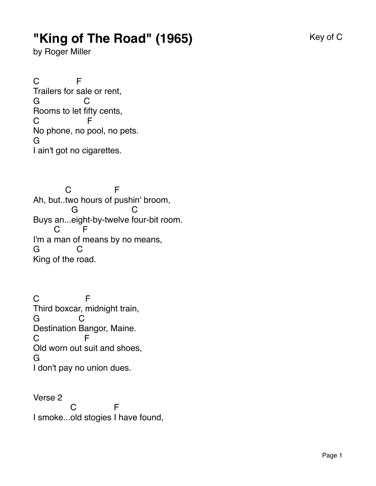## **"King of The Road" (1965)** Key of C

by Roger Miller

C Trailers for sale or rent, F G Rooms to let fifty cents, C C No phone, no pool, no pets. F G I ain't got no cigarettes.

Ah, but.. two hours of pushin' broom,  $\overline{C}$ F Buys an... eight-by-twelve four-bit room. G C I'm a man of means by no means, C F G King of the road.  $\mathsf{C}$ 

C Third boxcar, midnight train, F G Destination Bangor, Maine.  $\Omega$  $\mathcal{C}$ Old worn out suit and shoes, F G I don't pay no union dues.

Verse 2 I smoke... old stogies I have found,C F